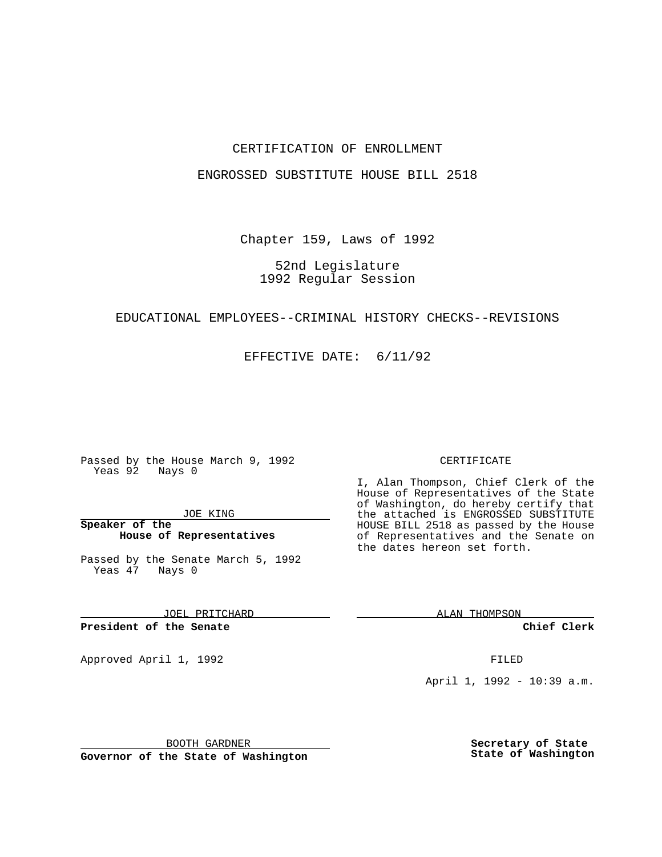### CERTIFICATION OF ENROLLMENT

### ENGROSSED SUBSTITUTE HOUSE BILL 2518

Chapter 159, Laws of 1992

## 52nd Legislature 1992 Regular Session

### EDUCATIONAL EMPLOYEES--CRIMINAL HISTORY CHECKS--REVISIONS

EFFECTIVE DATE: 6/11/92

Passed by the House March 9, 1992 Yeas 92 Nays 0

JOE KING

**Speaker of the House of Representatives**

Passed by the Senate March 5, 1992 Yeas 47 Nays 0

JOEL PRITCHARD

**President of the Senate**

Approved April 1, 1992 **FILED** 

BOOTH GARDNER

**Governor of the State of Washington**

#### CERTIFICATE

I, Alan Thompson, Chief Clerk of the House of Representatives of the State of Washington, do hereby certify that the attached is ENGROSSED SUBSTITUTE HOUSE BILL 2518 as passed by the House of Representatives and the Senate on the dates hereon set forth.

ALAN THOMPSON

**Chief Clerk**

April 1, 1992 - 10:39 a.m.

**Secretary of State State of Washington**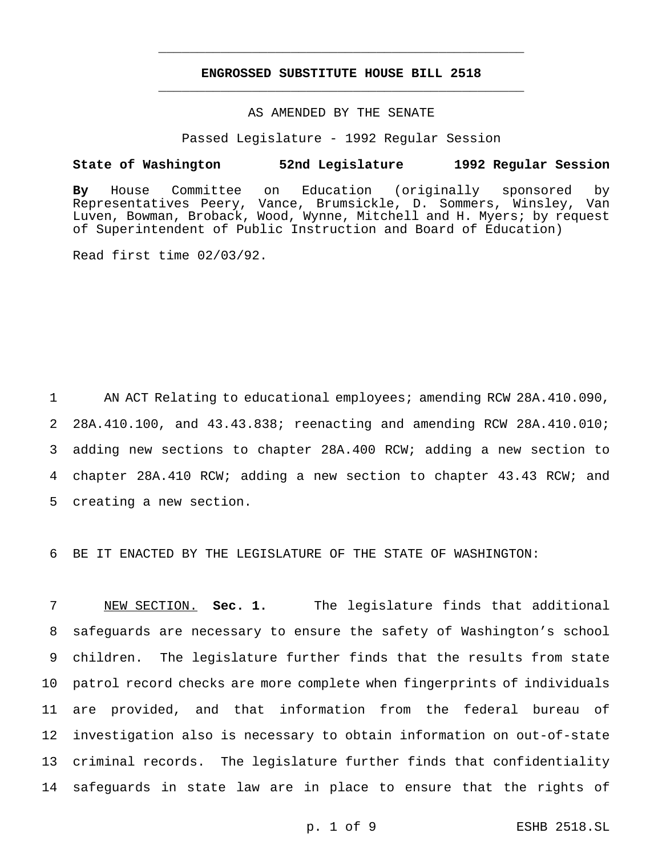# **ENGROSSED SUBSTITUTE HOUSE BILL 2518** \_\_\_\_\_\_\_\_\_\_\_\_\_\_\_\_\_\_\_\_\_\_\_\_\_\_\_\_\_\_\_\_\_\_\_\_\_\_\_\_\_\_\_\_\_\_\_

\_\_\_\_\_\_\_\_\_\_\_\_\_\_\_\_\_\_\_\_\_\_\_\_\_\_\_\_\_\_\_\_\_\_\_\_\_\_\_\_\_\_\_\_\_\_\_

# AS AMENDED BY THE SENATE

Passed Legislature - 1992 Regular Session

#### **State of Washington 52nd Legislature 1992 Regular Session**

**By** House Committee on Education (originally sponsored by Representatives Peery, Vance, Brumsickle, D. Sommers, Winsley, Van Luven, Bowman, Broback, Wood, Wynne, Mitchell and H. Myers; by request of Superintendent of Public Instruction and Board of Education)

Read first time 02/03/92.

1 AN ACT Relating to educational employees; amending RCW 28A.410.090, 28A.410.100, and 43.43.838; reenacting and amending RCW 28A.410.010; adding new sections to chapter 28A.400 RCW; adding a new section to chapter 28A.410 RCW; adding a new section to chapter 43.43 RCW; and creating a new section.

6 BE IT ENACTED BY THE LEGISLATURE OF THE STATE OF WASHINGTON:

 NEW SECTION. **Sec. 1.** The legislature finds that additional safeguards are necessary to ensure the safety of Washington's school children. The legislature further finds that the results from state patrol record checks are more complete when fingerprints of individuals are provided, and that information from the federal bureau of investigation also is necessary to obtain information on out-of-state criminal records. The legislature further finds that confidentiality safeguards in state law are in place to ensure that the rights of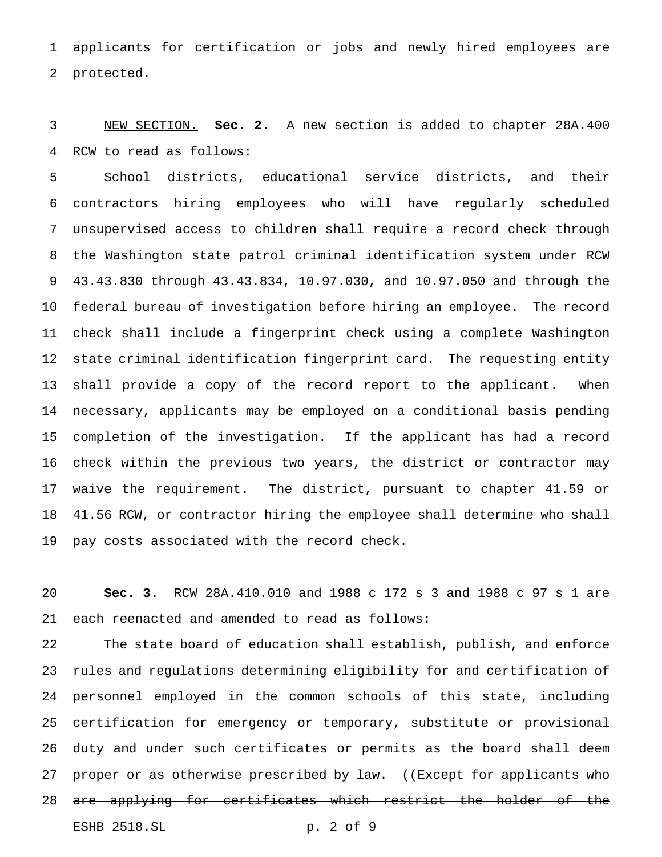applicants for certification or jobs and newly hired employees are protected.

 NEW SECTION. **Sec. 2.** A new section is added to chapter 28A.400 RCW to read as follows:

 School districts, educational service districts, and their contractors hiring employees who will have regularly scheduled unsupervised access to children shall require a record check through the Washington state patrol criminal identification system under RCW 43.43.830 through 43.43.834, 10.97.030, and 10.97.050 and through the federal bureau of investigation before hiring an employee. The record check shall include a fingerprint check using a complete Washington state criminal identification fingerprint card. The requesting entity shall provide a copy of the record report to the applicant. When necessary, applicants may be employed on a conditional basis pending completion of the investigation. If the applicant has had a record check within the previous two years, the district or contractor may waive the requirement. The district, pursuant to chapter 41.59 or 41.56 RCW, or contractor hiring the employee shall determine who shall pay costs associated with the record check.

 **Sec. 3.** RCW 28A.410.010 and 1988 c 172 s 3 and 1988 c 97 s 1 are each reenacted and amended to read as follows:

 The state board of education shall establish, publish, and enforce rules and regulations determining eligibility for and certification of personnel employed in the common schools of this state, including certification for emergency or temporary, substitute or provisional duty and under such certificates or permits as the board shall deem 27 proper or as otherwise prescribed by law. ((Except for applicants who 28 are applying for certificates which restrict the holder of the ESHB 2518.SL p. 2 of 9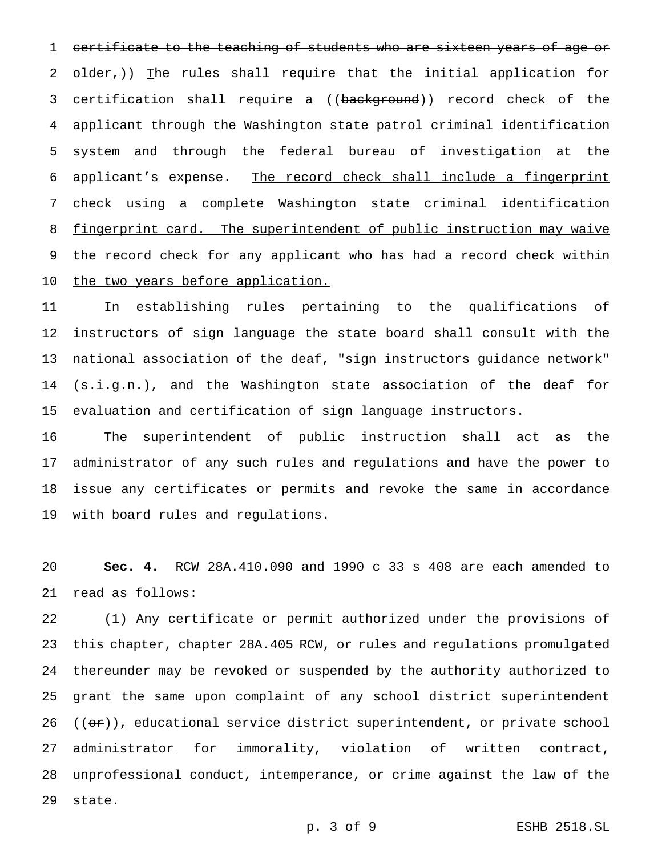certificate to the teaching of students who are sixteen years of age or 2  $\theta$ lder,)) The rules shall require that the initial application for 3 certification shall require a ((background)) record check of the applicant through the Washington state patrol criminal identification system and through the federal bureau of investigation at the applicant's expense. The record check shall include a fingerprint check using a complete Washington state criminal identification 8 fingerprint card. The superintendent of public instruction may waive 9 the record check for any applicant who has had a record check within 10 the two years before application.

 In establishing rules pertaining to the qualifications of instructors of sign language the state board shall consult with the national association of the deaf, "sign instructors guidance network" (s.i.g.n.), and the Washington state association of the deaf for evaluation and certification of sign language instructors.

 The superintendent of public instruction shall act as the administrator of any such rules and regulations and have the power to issue any certificates or permits and revoke the same in accordance with board rules and regulations.

 **Sec. 4.** RCW 28A.410.090 and 1990 c 33 s 408 are each amended to read as follows:

 (1) Any certificate or permit authorized under the provisions of this chapter, chapter 28A.405 RCW, or rules and regulations promulgated thereunder may be revoked or suspended by the authority authorized to grant the same upon complaint of any school district superintendent  $((\theta \cdot \mathbf{r}))$ <sub>1</sub> educational service district superintendent, or private school 27 administrator for immorality, violation of written contract, unprofessional conduct, intemperance, or crime against the law of the state.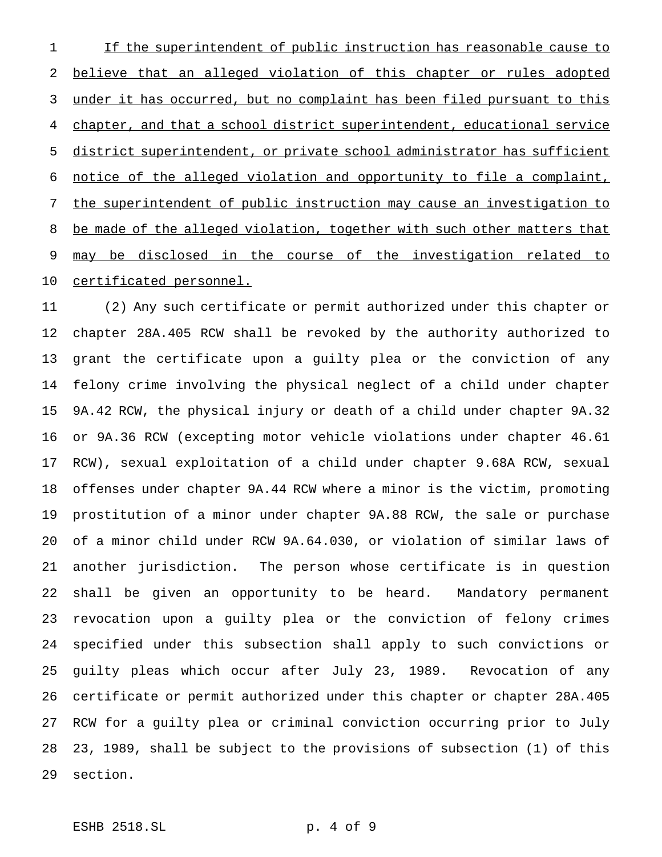1 If the superintendent of public instruction has reasonable cause to believe that an alleged violation of this chapter or rules adopted under it has occurred, but no complaint has been filed pursuant to this chapter, and that a school district superintendent, educational service district superintendent, or private school administrator has sufficient notice of the alleged violation and opportunity to file a complaint, the superintendent of public instruction may cause an investigation to 8 be made of the alleged violation, together with such other matters that 9 may be disclosed in the course of the investigation related to certificated personnel.

 (2) Any such certificate or permit authorized under this chapter or chapter 28A.405 RCW shall be revoked by the authority authorized to grant the certificate upon a guilty plea or the conviction of any felony crime involving the physical neglect of a child under chapter 9A.42 RCW, the physical injury or death of a child under chapter 9A.32 or 9A.36 RCW (excepting motor vehicle violations under chapter 46.61 RCW), sexual exploitation of a child under chapter 9.68A RCW, sexual offenses under chapter 9A.44 RCW where a minor is the victim, promoting prostitution of a minor under chapter 9A.88 RCW, the sale or purchase of a minor child under RCW 9A.64.030, or violation of similar laws of another jurisdiction. The person whose certificate is in question shall be given an opportunity to be heard. Mandatory permanent revocation upon a guilty plea or the conviction of felony crimes specified under this subsection shall apply to such convictions or guilty pleas which occur after July 23, 1989. Revocation of any certificate or permit authorized under this chapter or chapter 28A.405 RCW for a guilty plea or criminal conviction occurring prior to July 23, 1989, shall be subject to the provisions of subsection (1) of this section.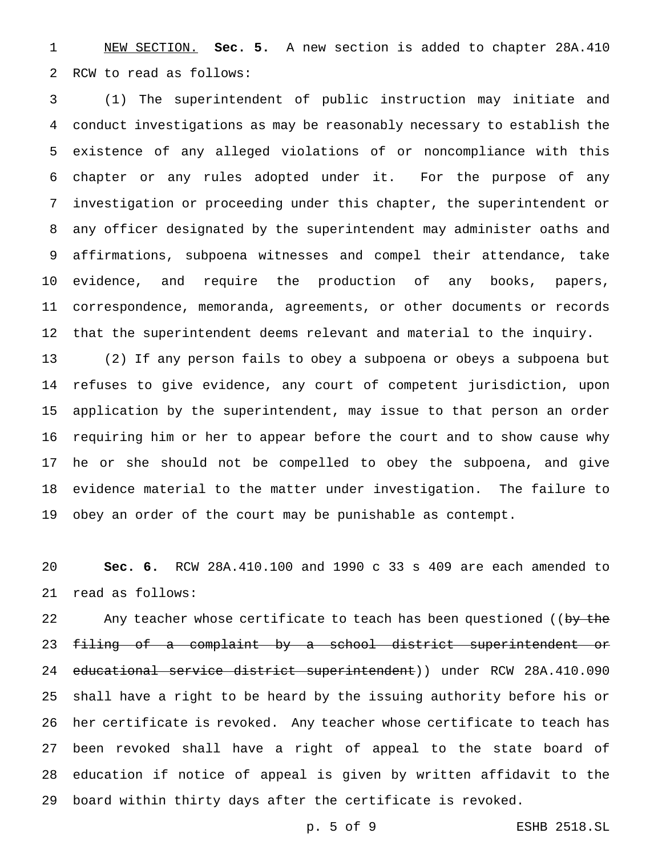NEW SECTION. **Sec. 5.** A new section is added to chapter 28A.410 RCW to read as follows:

 (1) The superintendent of public instruction may initiate and conduct investigations as may be reasonably necessary to establish the existence of any alleged violations of or noncompliance with this chapter or any rules adopted under it. For the purpose of any investigation or proceeding under this chapter, the superintendent or any officer designated by the superintendent may administer oaths and affirmations, subpoena witnesses and compel their attendance, take evidence, and require the production of any books, papers, correspondence, memoranda, agreements, or other documents or records that the superintendent deems relevant and material to the inquiry.

 (2) If any person fails to obey a subpoena or obeys a subpoena but refuses to give evidence, any court of competent jurisdiction, upon application by the superintendent, may issue to that person an order requiring him or her to appear before the court and to show cause why he or she should not be compelled to obey the subpoena, and give evidence material to the matter under investigation. The failure to obey an order of the court may be punishable as contempt.

 **Sec. 6.** RCW 28A.410.100 and 1990 c 33 s 409 are each amended to read as follows:

22 Any teacher whose certificate to teach has been questioned ((by the filing of a complaint by a school district superintendent or 24 educational service district superintendent)) under RCW 28A.410.090 shall have a right to be heard by the issuing authority before his or her certificate is revoked. Any teacher whose certificate to teach has been revoked shall have a right of appeal to the state board of education if notice of appeal is given by written affidavit to the board within thirty days after the certificate is revoked.

p. 5 of 9 ESHB 2518.SL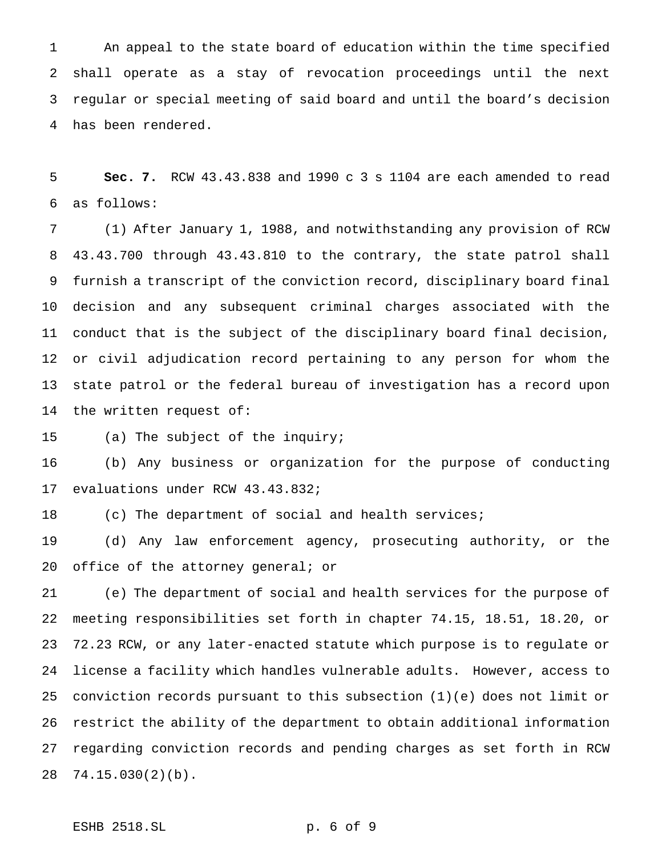An appeal to the state board of education within the time specified shall operate as a stay of revocation proceedings until the next regular or special meeting of said board and until the board's decision has been rendered.

 **Sec. 7.** RCW 43.43.838 and 1990c3s 1104 are each amended to read as follows:

 (1) After January 1, 1988, and notwithstanding any provision of RCW 43.43.700 through 43.43.810 to the contrary, the state patrol shall furnish a transcript of the conviction record, disciplinary board final decision and any subsequent criminal charges associated with the conduct that is the subject of the disciplinary board final decision, or civil adjudication record pertaining to any person for whom the state patrol or the federal bureau of investigation has a record upon the written request of:

(a) The subject of the inquiry;

 (b) Any business or organization for the purpose of conducting evaluations under RCW 43.43.832;

(c) The department of social and health services;

 (d) Any law enforcement agency, prosecuting authority, or the 20 office of the attorney general; or

 (e) The department of social and health services for the purpose of meeting responsibilities set forth in chapter 74.15, 18.51, 18.20, or 72.23 RCW, or any later-enacted statute which purpose is to regulate or license a facility which handles vulnerable adults. However, access to conviction records pursuant to this subsection (1)(e) does not limit or restrict the ability of the department to obtain additional information regarding conviction records and pending charges as set forth in RCW 74.15.030(2)(b).

ESHB 2518.SL p. 6 of 9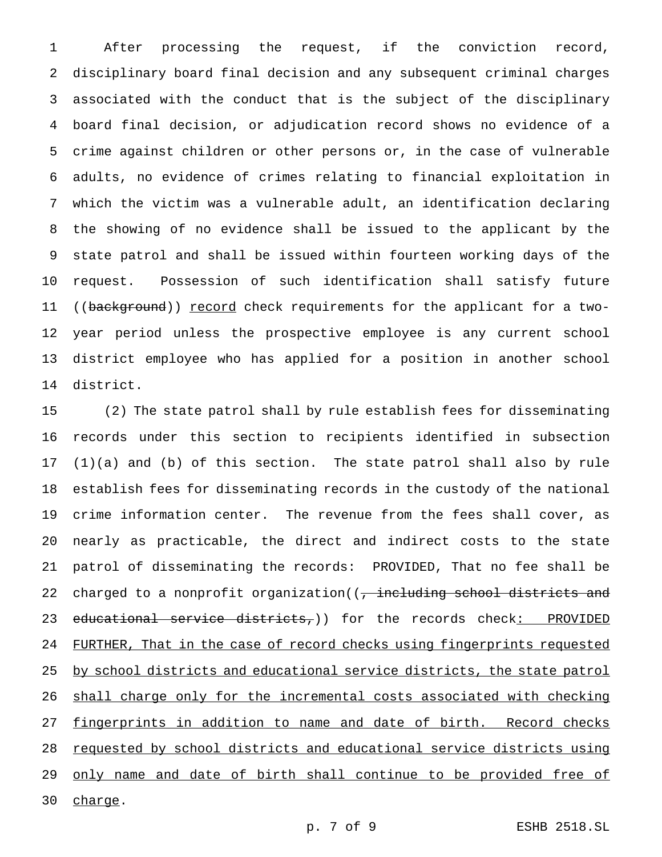After processing the request, if the conviction record, disciplinary board final decision and any subsequent criminal charges associated with the conduct that is the subject of the disciplinary board final decision, or adjudication record shows no evidence of a crime against children or other persons or, in the case of vulnerable adults, no evidence of crimes relating to financial exploitation in which the victim was a vulnerable adult, an identification declaring the showing of no evidence shall be issued to the applicant by the state patrol and shall be issued within fourteen working days of the request. Possession of such identification shall satisfy future 11 ((background)) record check requirements for the applicant for a two- year period unless the prospective employee is any current school district employee who has applied for a position in another school district.

 (2) The state patrol shall by rule establish fees for disseminating records under this section to recipients identified in subsection (1)(a) and (b) of this section. The state patrol shall also by rule establish fees for disseminating records in the custody of the national crime information center. The revenue from the fees shall cover, as nearly as practicable, the direct and indirect costs to the state patrol of disseminating the records: PROVIDED, That no fee shall be 22 charged to a nonprofit organization((, including school districts and 23 educational service districts,)) for the records check: PROVIDED 24 FURTHER, That in the case of record checks using fingerprints requested 25 by school districts and educational service districts, the state patrol shall charge only for the incremental costs associated with checking 27 fingerprints in addition to name and date of birth. Record checks requested by school districts and educational service districts using 29 only name and date of birth shall continue to be provided free of 30 charge.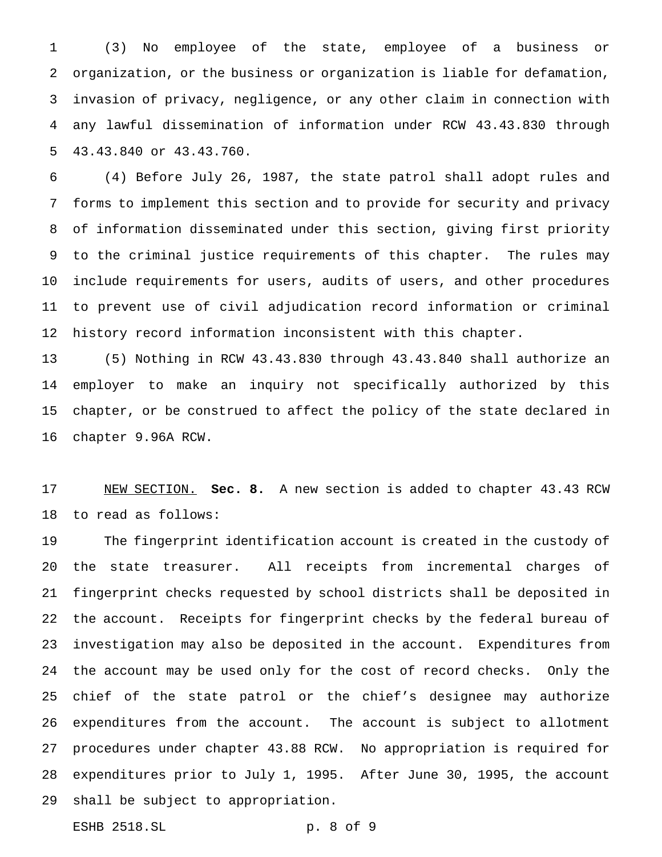(3) No employee of the state, employee of a business or organization, or the business or organization is liable for defamation, invasion of privacy, negligence, or any other claim in connection with any lawful dissemination of information under RCW 43.43.830 through 43.43.840 or 43.43.760.

 (4) Before July 26, 1987, the state patrol shall adopt rules and forms to implement this section and to provide for security and privacy of information disseminated under this section, giving first priority to the criminal justice requirements of this chapter. The rules may include requirements for users, audits of users, and other procedures to prevent use of civil adjudication record information or criminal history record information inconsistent with this chapter.

 (5) Nothing in RCW 43.43.830 through 43.43.840 shall authorize an employer to make an inquiry not specifically authorized by this chapter, or be construed to affect the policy of the state declared in chapter 9.96A RCW.

 NEW SECTION. **Sec. 8.** A new section is added to chapter 43.43 RCW to read as follows:

 The fingerprint identification account is created in the custody of the state treasurer. All receipts from incremental charges of fingerprint checks requested by school districts shall be deposited in the account. Receipts for fingerprint checks by the federal bureau of investigation may also be deposited in the account. Expenditures from the account may be used only for the cost of record checks. Only the chief of the state patrol or the chief's designee may authorize expenditures from the account. The account is subject to allotment procedures under chapter 43.88 RCW. No appropriation is required for expenditures prior to July 1, 1995. After June 30, 1995, the account shall be subject to appropriation.

ESHB 2518.SL p. 8 of 9